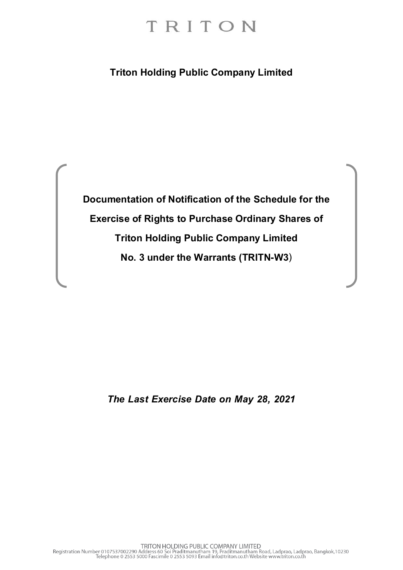**Triton Holding Public Company Limited**

**Documentation of Notification of the Schedule for the Exercise of Rights to Purchase Ordinary Shares of Triton Holding Public Company Limited No. 3under the Warrants (TRITN-W3)**

*The Last Exercise Date on May 28, 2021*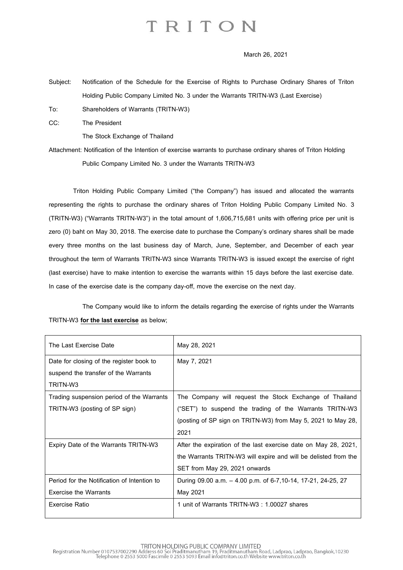### March 26, 2021

Subject: Notification of the Schedule for the Exercise of Rights to Purchase Ordinary Shares of Triton Holding Public Company Limited No. 3 under the Warrants TRITN-W3 (Last Exercise)

To: Shareholders of Warrants (TRITN-W3)

CC: The President

The Stock Exchange of Thailand

Attachment: Notification of the Intention of exercise warrants to purchase ordinary shares of Triton Holding Public Company Limited No. 3 under the Warrants TRITN-W3

Triton Holding Public Company Limited ("the Company") has issued and allocated the warrants representing the rights to purchase the ordinary shares of Triton Holding Public Company Limited No. 3 (TRITN-W3) ("Warrants TRITN-W3") in the total amount of 1,606,715,681 units with offering price per unit is zero (0) baht on May 30, 2018. The exercise date to purchase the Company's ordinary shares shall be made every three months on the last business day of March, June, September, and December of each year throughout the term of Warrants TRITN-W3 since Warrants TRITN-W3 is issued except the exercise of right (last exercise) have to make intention to exercise the warrants within 15 days before the last exercise date. In case of the exercise date is the company day-off, move the exercise on the next day.

The Company would like to inform the details regarding the exercise of rights under the Warrants TRITN-W3 **for the last exercise** as below;

| The Last Exercise Date                      | May 28, 2021                                                    |
|---------------------------------------------|-----------------------------------------------------------------|
| Date for closing of the register book to    | May 7, 2021                                                     |
| suspend the transfer of the Warrants        |                                                                 |
| TRITN-W3                                    |                                                                 |
| Trading suspension period of the Warrants   | The Company will request the Stock Exchange of Thailand         |
| TRITN-W3 (posting of SP sign)               | ("SET") to suspend the trading of the Warrants TRITN-W3         |
|                                             | (posting of SP sign on TRITN-W3) from May 5, 2021 to May 28,    |
|                                             | 2021                                                            |
| Expiry Date of the Warrants TRITN-W3        | After the expiration of the last exercise date on May 28, 2021, |
|                                             | the Warrants TRITN-W3 will expire and will be delisted from the |
|                                             | SET from May 29, 2021 onwards                                   |
| Period for the Notification of Intention to | During 09.00 a.m. - 4.00 p.m. of 6-7,10-14, 17-21, 24-25, 27    |
| Exercise the Warrants                       | May 2021                                                        |
| <b>Exercise Ratio</b>                       | 1 unit of Warrants TRITN-W3: 1.00027 shares                     |
|                                             |                                                                 |

TRITON HOLDING PUBLIC COMPANY LIMITED<br>Registration Number 0107537002290 Address 60 Soi Praditmanutham 19, Praditmanutham Road, Ladprao, Ladprao, Bangkok,10230<br>Telephone 0 2553 5000 Fascimile 0 2553 5093 Email info@triton.c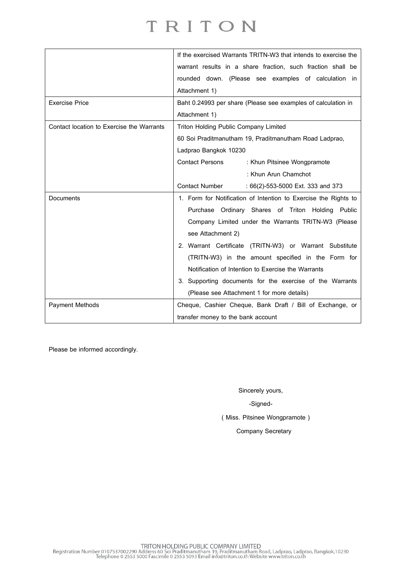|                                           | If the exercised Warrants TRITN-W3 that intends to exercise the |  |
|-------------------------------------------|-----------------------------------------------------------------|--|
|                                           | warrant results in a share fraction, such fraction shall be     |  |
|                                           | rounded down. (Please see examples of calculation in            |  |
|                                           | Attachment 1)                                                   |  |
| <b>Exercise Price</b>                     | Baht 0.24993 per share (Please see examples of calculation in   |  |
|                                           | Attachment 1)                                                   |  |
| Contact location to Exercise the Warrants | Triton Holding Public Company Limited                           |  |
|                                           | 60 Soi Praditmanutham 19, Praditmanutham Road Ladprao,          |  |
|                                           | Ladprao Bangkok 10230                                           |  |
|                                           | Contact Persons<br>: Khun Pitsinee Wongpramote                  |  |
|                                           | : Khun Arun Chamchot                                            |  |
|                                           | <b>Contact Number</b><br>: 66(2)-553-5000 Ext. 333 and 373      |  |
| <b>Documents</b>                          | 1. Form for Notification of Intention to Exercise the Rights to |  |
|                                           | Purchase Ordinary Shares of Triton Holding Public               |  |
|                                           | Company Limited under the Warrants TRITN-W3 (Please             |  |
|                                           | see Attachment 2)                                               |  |
|                                           | 2. Warrant Certificate (TRITN-W3) or Warrant Substitute         |  |
|                                           | (TRITN-W3) in the amount specified in the Form for              |  |
|                                           | Notification of Intention to Exercise the Warrants              |  |
|                                           | 3. Supporting documents for the exercise of the Warrants        |  |
|                                           | (Please see Attachment 1 for more details)                      |  |
| <b>Payment Methods</b>                    | Cheque, Cashier Cheque, Bank Draft / Bill of Exchange, or       |  |
|                                           | transfer money to the bank account                              |  |

Please be informed accordingly.

Sincerely yours,

-Signed-

( Miss. Pitsinee Wongpramote )

Company Secretary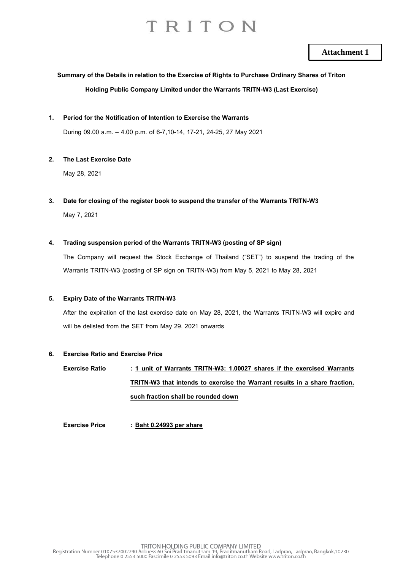### **Attachment 1**

### **Summary of the Details in relation to the Exercise of Rights to Purchase Ordinary Shares of Triton Holding Public Company Limited under the Warrants TRITN-W3 (Last Exercise)**

**1. Period for the Notification of Intention to Exercise the Warrants**

During 09.00 a.m. – 4.00 p.m. of 6-7,10-14, 17-21, 24-25, 27 May 2021

**2. The Last Exercise Date**

May 28, 2021

- **3. Date for closing of the register book to suspend the transfer of the Warrants TRITN-W3** May 7, 2021
- **4. Trading suspension period of the Warrants TRITN-W3 (posting of SP sign)**

The Company will request the Stock Exchange of Thailand ("SET") to suspend the trading of the Warrants TRITN-W3 (posting of SP sign on TRITN-W3) from May 5, 2021 to May 28, 2021

### **5. Expiry Date of the Warrants TRITN-W3**

After the expiration of the last exercise date on May 28, 2021, the Warrants TRITN-W3 will expire and will be delisted from the SET from May 29, 2021 onwards

### **6. Exercise Ratio and Exercise Price**

**Exercise Ratio : 1 unit of Warrants TRITN-W3: 1.00027 shares if the exercised Warrants TRITN-W3 that intends to exercise the Warrant results in a share fraction, such fraction shall be rounded down**

**Exercise Price : Baht 0.24993 per share**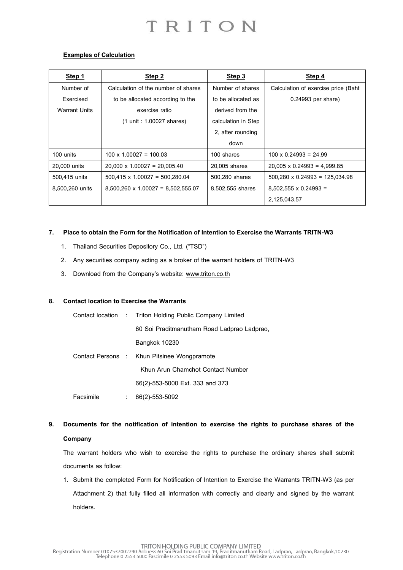### **Examples of Calculation**

| <u>Step 1</u>        | Step 2                                    | Step 3              | Step 4                                |
|----------------------|-------------------------------------------|---------------------|---------------------------------------|
| Number of            | Calculation of the number of shares       | Number of shares    | Calculation of exercise price (Baht   |
| Exercised            | to be allocated according to the          | to be allocated as  | 0.24993 per share)                    |
| <b>Warrant Units</b> | exercise ratio                            | derived from the    |                                       |
|                      | (1 unit : 1.00027 shares)                 | calculation in Step |                                       |
|                      |                                           | 2, after rounding   |                                       |
|                      |                                           | down                |                                       |
| 100 units            | $100 \times 1.00027 = 100.03$             | 100 shares          | $100 \times 0.24993 = 24.99$          |
| 20,000 units         | $20,000 \times 1.00027 = 20,005.40$       | 20,005 shares       | $20,005 \times 0.24993 = 4,999.85$    |
| 500,415 units        | $500,415 \times 1.00027 = 500,280.04$     |                     | $500,280 \times 0.24993 = 125,034.98$ |
| 8,500,260 units      | $8,500,260 \times 1.00027 = 8,502,555.07$ | 8,502,555 shares    | $8,502,555 \times 0.24993 =$          |
|                      |                                           |                     | 2,125,043.57                          |

### **7. Place to obtain the Form for the Notification of Intention to Exercise the Warrants TRITN-W3**

- 1. Thailand Securities Depository Co., Ltd. ("TSD")
- 2. Any securities company acting as a broker of the warrant holders of TRITN-W3
- 3. Download from the Company's website: [www.triton.co.th](http://www.triton.co.th/)

### **8.** Contact location to Exercise the Warrants

|           |  | Contact location : Triton Holding Public Company Limited |
|-----------|--|----------------------------------------------------------|
|           |  | 60 Soi Praditmanutham Road Ladprao Ladprao,              |
|           |  | Bangkok 10230                                            |
|           |  | Contact Persons : Khun Pitsinee Wongpramote              |
|           |  | Khun Arun Chamchot Contact Number                        |
|           |  | 66(2)-553-5000 Ext. 333 and 373                          |
| Facsimile |  | 66(2)-553-5092                                           |

**9. Documents for the notification of intention to exercise the rights to purchase shares of the Company**

The warrant holders who wish to exercise the rights to purchase the ordinary shares shall submit documents as follow:

1. Submit the completed Form for Notification of Intention to Exercise the Warrants TRITN-W3 (as per Attachment 2) that fully filled all information with correctly and clearly and signed by the warrant holders.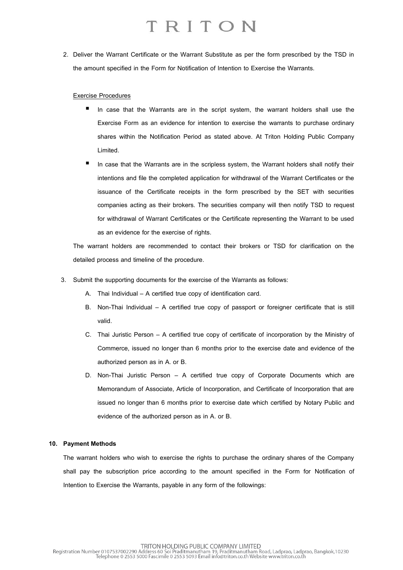2. Deliver the Warrant Certificate or the Warrant Substitute as per the form prescribed by the TSD in the amount specified in the Form for Notification of Intention to Exercise the Warrants.

### Exercise Procedures

- In case that the Warrants are in the script system, the warrant holders shall use the Exercise Form as an evidence for intention to exercise the warrants to purchase ordinary shares within the Notification Period as stated above. At Triton Holding Public Company Limited.
- In case that the Warrants are in the scripless system, the Warrant holders shall notify their intentions and file the completed application for withdrawal of the Warrant Certificates or the issuance of the Certificate receipts in the form prescribed by the SET with securities companies acting as their brokers. The securities company will then notify TSD to request for withdrawal of Warrant Certificates or the Certificate representing the Warrant to be used as an evidence for the exercise of rights.

The warrant holders are recommended to contact their brokers or TSD for clarification on the detailed process and timeline of the procedure.

- 3. Submit the supporting documents for the exercise of the Warrants as follows:
	- A. Thai Individual A certified true copy of identification card.
	- B. Non-Thai Individual A certified true copy of passport or foreigner certificate that is still valid.
	- C. Thai Juristic Person A certified true copy of certificate of incorporation by the Ministry of Commerce, issued no longer than 6 months prior to the exercise date and evidence of the authorized person as in A. or B.
	- D. Non-Thai Juristic Person A certified true copy of Corporate Documents which are Memorandum of Associate, Article of Incorporation, and Certificate of Incorporation that are issued no longer than 6 months prior to exercise date which certified by Notary Public and evidence of the authorized person as in A. or B.

#### **10. Payment Methods**

The warrant holders who wish to exercise the rights to purchase the ordinary shares of the Company shall pay the subscription price according to the amount specified in the Form for Notification of Intention to Exercise the Warrants, payable in any form of the followings: